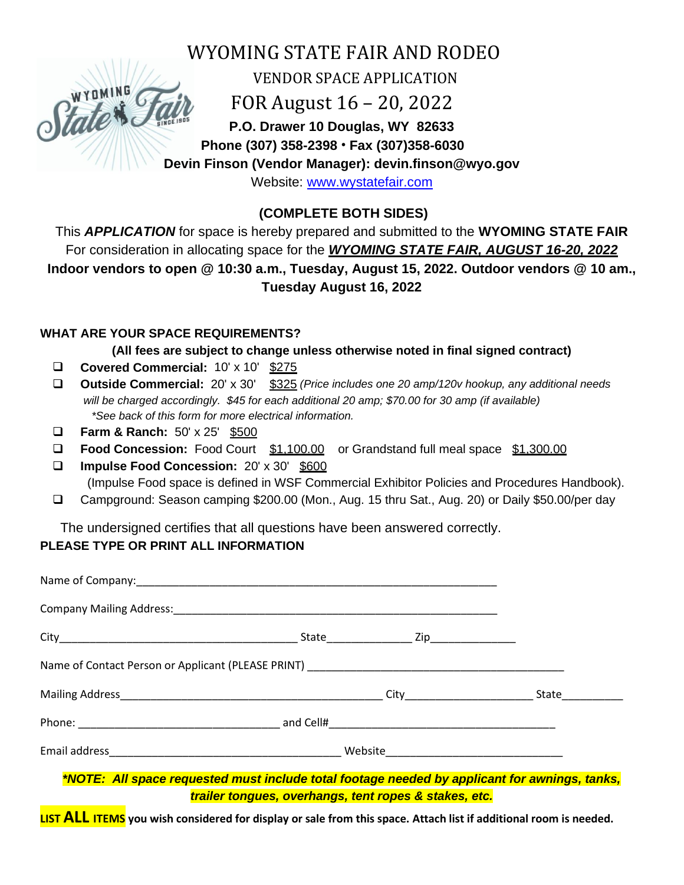

WYOMING STATE FAIR AND RODEO

VENDOR SPACE APPLICATION

FOR August 16 – 20, 2022

**P.O. Drawer 10 Douglas, WY 82633 Phone (307) 358-2398** • **Fax (307)358-6030**

**Devin Finson (Vendor Manager): devin.finson@wyo.gov**

Website: [www.wystatefair.com](http://www.wystatefair.com/)

**(COMPLETE BOTH SIDES)**

This *APPLICATION* for space is hereby prepared and submitted to the **WYOMING STATE FAIR** For consideration in allocating space for the *WYOMING STATE FAIR, AUGUST 16-20, 2022*  **Indoor vendors to open @ 10:30 a.m., Tuesday, August 15, 2022. Outdoor vendors @ 10 am., Tuesday August 16, 2022**

## **WHAT ARE YOUR SPACE REQUIREMENTS?**

**(All fees are subject to change unless otherwise noted in final signed contract)**

- ❑ **Covered Commercial:** 10' x 10' \$275
- ❑ **Outside Commercial:** 20' x 30' \$325 *(Price includes one 20 amp/120v hookup, any additional needs will be charged accordingly. \$45 for each additional 20 amp; \$70.00 for 30 amp (if available) \*See back of this form for more electrical information.*
- ❑ **Farm & Ranch:** 50' x 25' \$500
- ❑ **Food Concession:** Food Court \$1,100.00 or Grandstand full meal space \$1,300.00
- ❑ **Impulse Food Concession:** 20' x 30' \$600 (Impulse Food space is defined in WSF Commercial Exhibitor Policies and Procedures Handbook).
- ❑ Campground: Season camping \$200.00 (Mon., Aug. 15 thru Sat., Aug. 20) or Daily \$50.00/per day

The undersigned certifies that all questions have been answered correctly.

# **PLEASE TYPE OR PRINT ALL INFORMATION**

*\*NOTE: All space requested must include total footage needed by applicant for awnings, tanks, trailer tongues, overhangs, tent ropes & stakes, etc.*

**LIST ALL ITEMS you wish considered for display or sale from this space. Attach list if additional room is needed.**